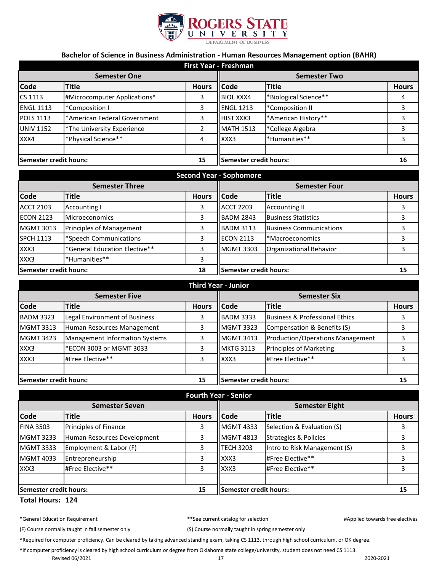

## **Bachelor of Science in Business Administration - Human Resources Management option (BAHR)**

| <b>First Year - Freshman</b> |                              |                        |                     |                       |              |
|------------------------------|------------------------------|------------------------|---------------------|-----------------------|--------------|
| <b>Semester One</b>          |                              |                        | <b>Semester Two</b> |                       |              |
| <b>Code</b>                  | <b>Title</b>                 | <b>Hours</b>           | <b>Code</b>         | <b>Title</b>          | <b>Hours</b> |
| CS 1113                      | #Microcomputer Applications^ | 3                      | <b>BIOL XXX4</b>    | *Biological Science** | 4            |
| <b>ENGL 1113</b>             | *Composition I               | 3                      | <b>ENGL 1213</b>    | *Composition II       | 3            |
| <b>POLS 1113</b>             | *American Federal Government | 3                      | <b>HIST XXX3</b>    | *American History**   |              |
| <b>UNIV 1152</b>             | *The University Experience   | $\overline{2}$         | <b>MATH 1513</b>    | *College Algebra      | 3            |
| XXX4                         | *Physical Science**          | 4                      | XXX3                | *Humanities**         | 3            |
|                              |                              |                        |                     |                       |              |
| Semester credit hours:<br>15 |                              | Semester credit hours: |                     | 16                    |              |

| <b>Second Year - Sophomore</b> |                                 |                        |                      |                                |              |
|--------------------------------|---------------------------------|------------------------|----------------------|--------------------------------|--------------|
| <b>Semester Three</b>          |                                 |                        | <b>Semester Four</b> |                                |              |
| <b>Code</b>                    | Title                           | <b>Hours</b>           | <b>Code</b>          | <b>Title</b>                   | <b>Hours</b> |
| <b>ACCT 2103</b>               | <b>Accounting I</b>             | 3                      | <b>ACCT 2203</b>     | <b>Accounting II</b>           |              |
| <b>ECON 2123</b>               | <b>Microeconomics</b>           | 3                      | <b>BADM 2843</b>     | <b>Business Statistics</b>     |              |
| <b>MGMT 3013</b>               | <b>Principles of Management</b> | 3                      | <b>BADM 3113</b>     | <b>Business Communications</b> |              |
| <b>SPCH 1113</b>               | *Speech Communications          | 3                      | <b>ECON 2113</b>     | *Macroeconomics                |              |
| XXX3                           | *General Education Elective**   | 3                      | <b>MGMT 3303</b>     | Organizational Behavior        |              |
| XXX3                           | *Humanities**                   | 3                      |                      |                                |              |
| 18<br>Semester credit hours:   |                                 | Semester credit hours: |                      | 15                             |              |

| <b>Third Year - Junior</b> |                                       |              |                        |                                  |              |
|----------------------------|---------------------------------------|--------------|------------------------|----------------------------------|--------------|
| <b>Semester Five</b>       |                                       |              | <b>Semester Six</b>    |                                  |              |
| <b>Code</b>                | Title                                 | <b>Hours</b> | <b>Code</b>            | <b>Title</b>                     | <b>Hours</b> |
| <b>BADM 3323</b>           | Legal Environment of Business         |              | <b>BADM 3333</b>       | Business & Professional Ethics   |              |
| <b>MGMT 3313</b>           | Human Resources Management            |              | <b>MGMT 3323</b>       | Compensation & Benefits (S)      |              |
| <b>MGMT 3423</b>           | <b>Management Information Systems</b> | 3            | <b>MGMT 3413</b>       | Production/Operations Management |              |
| XXX3                       | *ECON 3003 or MGMT 3033               |              | <b>MKTG 3113</b>       | <b>Principles of Marketing</b>   |              |
| XXX3                       | #Free Elective**                      | 3            | XXX3                   | #Free Elective**                 |              |
|                            |                                       |              |                        |                                  |              |
| Semester credit hours:     |                                       | 15           | Semester credit hours: |                                  | 15           |

| <b>Fourth Year - Senior</b>   |                             |              |                        |                                  |              |
|-------------------------------|-----------------------------|--------------|------------------------|----------------------------------|--------------|
| <b>Semester Seven</b>         |                             |              | <b>Semester Eight</b>  |                                  |              |
| <b>Code</b>                   | <b>Title</b>                | <b>Hours</b> | <b>Code</b>            | <b>Title</b>                     | <b>Hours</b> |
| <b>FINA 3503</b>              | Principles of Finance       | 3            | <b>MGMT 4333</b>       | Selection & Evaluation (S)       |              |
| <b>MGMT 3233</b>              | Human Resources Development | 3            | <b>MGMT 4813</b>       | <b>Strategies &amp; Policies</b> |              |
| <b>MGMT 3333</b>              | Employment & Labor (F)      | 3            | <b>TECH 3203</b>       | Intro to Risk Management (S)     |              |
| <b>MGMT 4033</b>              | Entrepreneurship            | 3            | XXX3                   | #Free Elective**                 |              |
| XXX3                          | #Free Elective**            | 3            | XXX3                   | #Free Elective**                 |              |
|                               |                             |              |                        |                                  |              |
| <b>Semester credit hours:</b> |                             | 15           | Semester credit hours: |                                  | 15           |

## **Total Hours: 124**

|  |  | *General Education Requirement |
|--|--|--------------------------------|
|--|--|--------------------------------|

t the current catalog for selection and the property of the selectives selectives and the selectives of the selectives of the selectives of the selectives of the selectives of the selectives of the selectives of the select

(F) Course normally taught in fall semester only (S) Course normally taught in spring semester only

^Required for computer proficiency. Can be cleared by taking advanced standing exam, taking CS 1113, through high school curriculum, or OK degree.

^If computer proficiency is cleared by high school curriculum or degree from Oklahoma state college/university, student does not need CS 1113.

Revised 06/2021 2020-2021 2020-2021 2020-2021 2020-2021 2020-2021 2020-2021